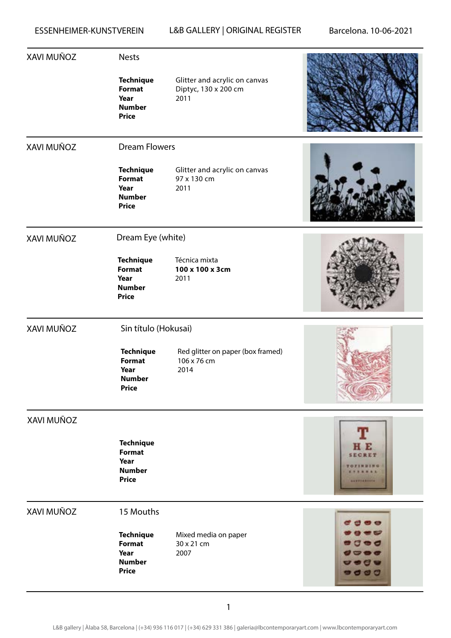| <b>XAVI MUÑOZ</b> | <b>Nests</b><br><b>Technique</b><br><b>Format</b><br>Year<br><b>Number</b><br><b>Price</b>         | Glitter and acrylic on canvas<br>Diptyc, 130 x 200 cm<br>2011 |                                                               |
|-------------------|----------------------------------------------------------------------------------------------------|---------------------------------------------------------------|---------------------------------------------------------------|
| XAVI MUÑOZ        | <b>Dream Flowers</b><br><b>Technique</b><br><b>Format</b><br>Year<br><b>Number</b><br><b>Price</b> | Glitter and acrylic on canvas<br>97 x 130 cm<br>2011          |                                                               |
| <b>XAVI MUÑOZ</b> | Dream Eye (white)<br><b>Technique</b><br><b>Format</b><br>Year<br><b>Number</b><br><b>Price</b>    | Técnica mixta<br>100 x 100 x 3cm<br>2011                      |                                                               |
| <b>XAVI MUÑOZ</b> | Sin título (Hokusai)<br><b>Technique</b><br>Format<br>Year<br><b>Number</b><br><b>Price</b>        | Red glitter on paper (box framed)<br>106 x 76 cm<br>2014      |                                                               |
| XAVI MUÑOZ        | <b>Technique</b><br><b>Format</b><br>Year<br><b>Number</b><br><b>Price</b>                         |                                                               | 52<br>CRET<br>,,,,,,,,,,,                                     |
| XAVI MUÑOZ        | 15 Mouths<br><b>Technique</b><br><b>Format</b><br>Year<br><b>Number</b><br><b>Price</b>            | Mixed media on paper<br>30 x 21 cm<br>2007                    | <b></b><br>0.099<br>$\sigma$ , $\sigma$<br><b>AQA</b><br>66 C |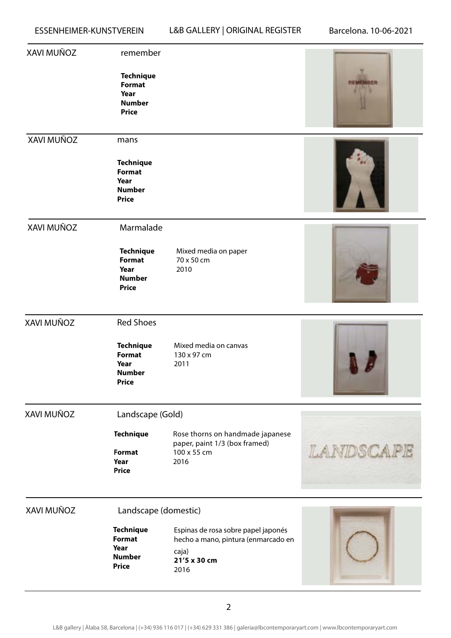| <b>XAVI MUÑOZ</b> | remember                                                                                           |                                                                                                             |           |
|-------------------|----------------------------------------------------------------------------------------------------|-------------------------------------------------------------------------------------------------------------|-----------|
|                   | <b>Technique</b><br><b>Format</b><br>Year<br><b>Number</b><br><b>Price</b>                         |                                                                                                             |           |
| XAVI MUÑOZ        | mans<br><b>Technique</b><br><b>Format</b><br>Year<br><b>Number</b><br><b>Price</b>                 |                                                                                                             |           |
| XAVI MUÑOZ        | Marmalade<br><b>Technique</b><br><b>Format</b><br>Year<br><b>Number</b><br><b>Price</b>            | Mixed media on paper<br>70 x 50 cm<br>2010                                                                  |           |
| XAVI MUÑOZ        | <b>Red Shoes</b><br><b>Technique</b><br><b>Format</b><br>Year<br><b>Number</b><br><b>Price</b>     | Mixed media on canvas<br>130 x 97 cm<br>2011                                                                |           |
| XAVI MUÑOZ        | Landscape (Gold)<br><b>Technique</b><br><b>Format</b><br>Year<br><b>Price</b>                      | Rose thorns on handmade japanese<br>paper, paint 1/3 (box framed)<br>100 x 55 cm<br>2016                    | LANDSCAPE |
| XAVI MUÑOZ        | Landscape (domestic)<br><b>Technique</b><br><b>Format</b><br>Year<br><b>Number</b><br><b>Price</b> | Espinas de rosa sobre papel japonés<br>hecho a mano, pintura (enmarcado en<br>caja)<br>21'5 x 30 cm<br>2016 |           |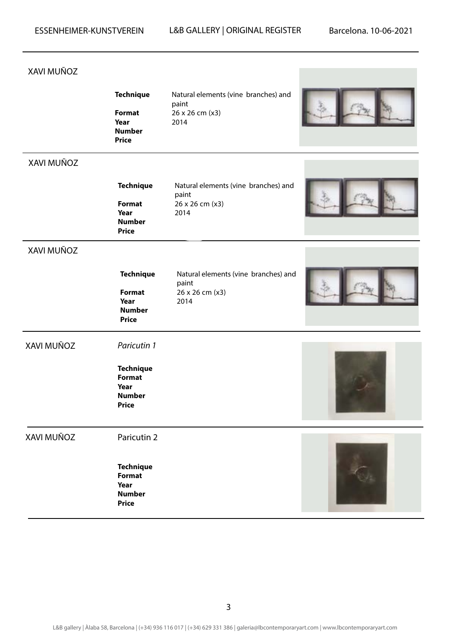## XAVI MUÑOZ

|            | <b>Technique</b><br><b>Format</b><br>Year<br><b>Number</b><br><b>Price</b>                | Natural elements (vine branches) and<br>paint<br>26 x 26 cm (x3)<br>2014 |  |
|------------|-------------------------------------------------------------------------------------------|--------------------------------------------------------------------------|--|
| XAVI MUÑOZ |                                                                                           |                                                                          |  |
|            | <b>Technique</b><br><b>Format</b><br>Year<br><b>Number</b><br><b>Price</b>                | Natural elements (vine branches) and<br>paint<br>26 x 26 cm (x3)<br>2014 |  |
| XAVI MUÑOZ |                                                                                           |                                                                          |  |
|            | <b>Technique</b><br><b>Format</b><br>Year<br><b>Number</b><br><b>Price</b>                | Natural elements (vine branches) and<br>paint<br>26 x 26 cm (x3)<br>2014 |  |
| XAVI MUÑOZ | Paricutin 1<br><b>Technique</b><br><b>Format</b><br>Year<br><b>Number</b><br><b>Price</b> |                                                                          |  |
| XAVI MUÑOZ | Paricutin 2<br><b>Technique</b><br><b>Format</b><br>Year<br><b>Number</b><br><b>Price</b> |                                                                          |  |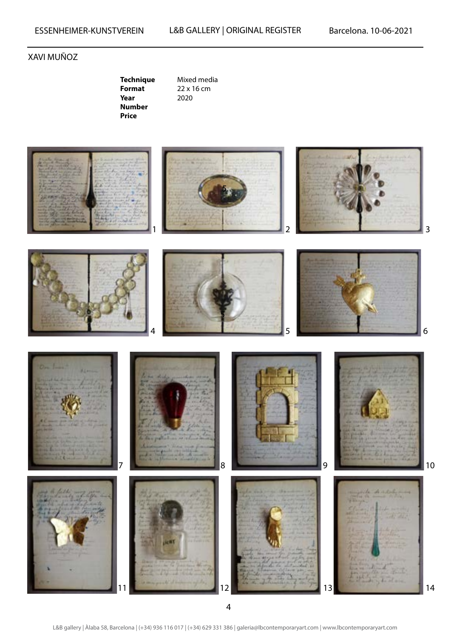## XAVI MUÑOZ

| Technique     |  |
|---------------|--|
| Format        |  |
| Year          |  |
| <b>Number</b> |  |
| Price         |  |

Mixed media 22 x 16 cm 2020

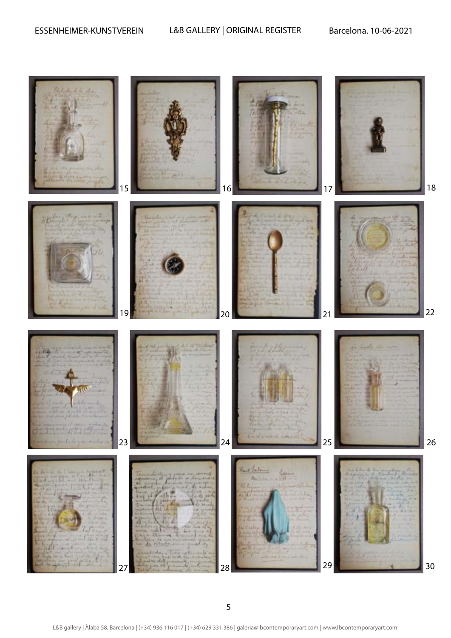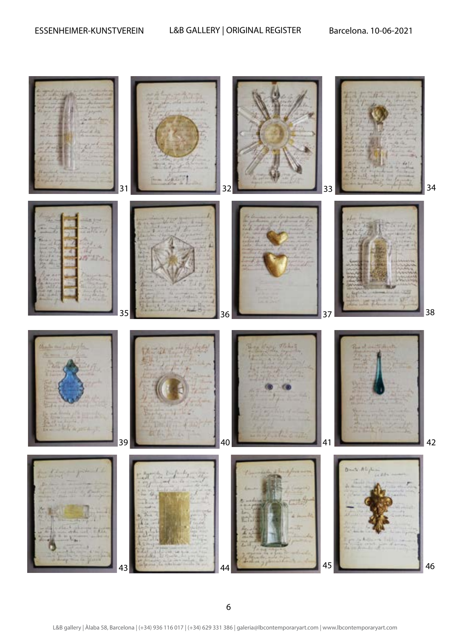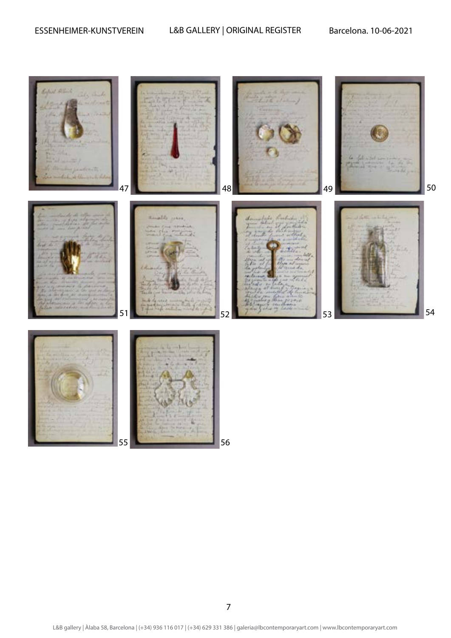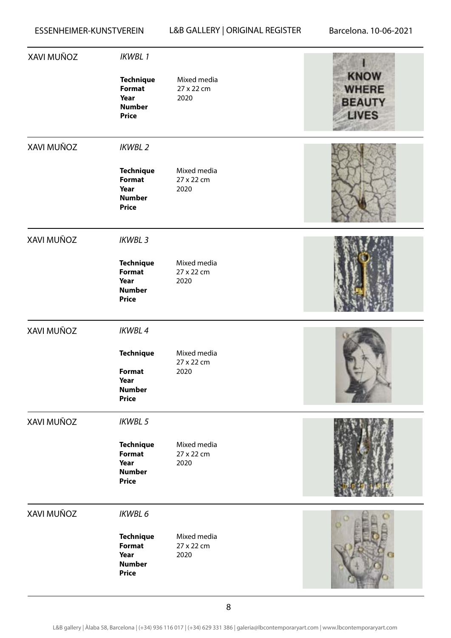| XAVI MUÑOZ        | <b>IKWBL1</b>                                                                                |                                   |                                                              |
|-------------------|----------------------------------------------------------------------------------------------|-----------------------------------|--------------------------------------------------------------|
|                   | <b>Technique</b><br><b>Format</b><br>Year<br><b>Number</b><br><b>Price</b>                   | Mixed media<br>27 x 22 cm<br>2020 | <b>KNOW</b><br><b>WHERE</b><br><b>BEAUTY</b><br><b>LIVES</b> |
| XAVI MUÑOZ        | <b>IKWBL 2</b><br><b>Technique</b><br><b>Format</b><br>Year<br><b>Number</b><br><b>Price</b> | Mixed media<br>27 x 22 cm<br>2020 |                                                              |
| <b>XAVI MUÑOZ</b> | <b>IKWBL 3</b><br><b>Technique</b><br><b>Format</b><br>Year<br><b>Number</b><br><b>Price</b> | Mixed media<br>27 x 22 cm<br>2020 |                                                              |
| XAVI MUÑOZ        | <b>IKWBL4</b><br><b>Technique</b><br><b>Format</b><br>Year<br><b>Number</b><br><b>Price</b>  | Mixed media<br>27 x 22 cm<br>2020 |                                                              |
| XAVI MUÑOZ        | <b>IKWBL 5</b><br><b>Technique</b><br><b>Format</b><br>Year<br><b>Number</b><br><b>Price</b> | Mixed media<br>27 x 22 cm<br>2020 |                                                              |
| <b>XAVI MUÑOZ</b> | IKWBL 6<br><b>Technique</b><br><b>Format</b><br>Year<br><b>Number</b><br><b>Price</b>        | Mixed media<br>27 x 22 cm<br>2020 |                                                              |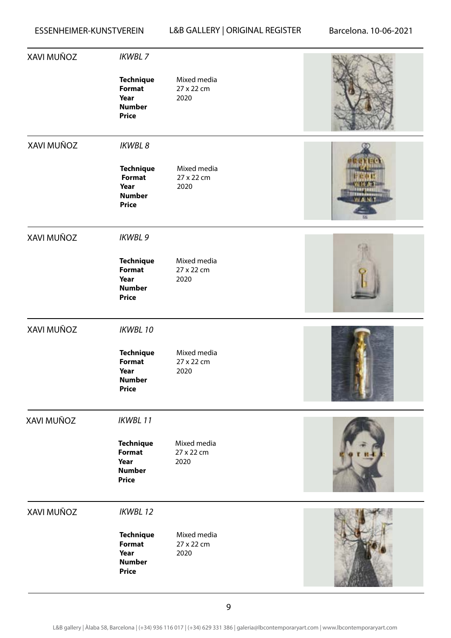| XAVI MUÑOZ        | <b>IKWBL 7</b><br><b>Technique</b><br><b>Format</b><br>Year<br><b>Number</b><br><b>Price</b> | Mixed media<br>27 x 22 cm<br>2020 |  |
|-------------------|----------------------------------------------------------------------------------------------|-----------------------------------|--|
| XAVI MUÑOZ        | <b>IKWBL8</b><br><b>Technique</b><br><b>Format</b><br>Year<br><b>Number</b><br><b>Price</b>  | Mixed media<br>27 x 22 cm<br>2020 |  |
| XAVI MUÑOZ        | IKWBL 9<br><b>Technique</b><br><b>Format</b><br>Year<br><b>Number</b><br><b>Price</b>        | Mixed media<br>27 x 22 cm<br>2020 |  |
| <b>XAVI MUÑOZ</b> | IKWBL 10<br><b>Technique</b><br><b>Format</b><br>Year<br><b>Number</b><br><b>Price</b>       | Mixed media<br>27 x 22 cm<br>2020 |  |
| <b>XAVI MUÑOZ</b> | <b>IKWBL11</b><br><b>Technique</b><br><b>Format</b><br>Year<br><b>Number</b><br><b>Price</b> | Mixed media<br>27 x 22 cm<br>2020 |  |
| XAVI MUÑOZ        | IKWBL 12<br><b>Technique</b><br><b>Format</b><br>Year<br><b>Number</b><br><b>Price</b>       | Mixed media<br>27 x 22 cm<br>2020 |  |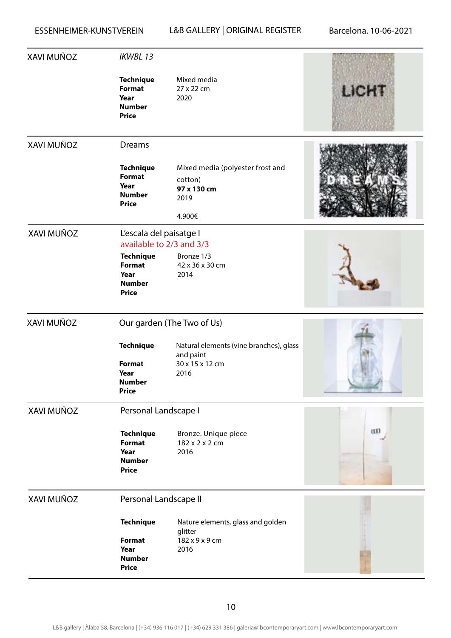| XAVI MUÑOZ | IKWBL 13                                                                                                                          |                                                                                                               |       |
|------------|-----------------------------------------------------------------------------------------------------------------------------------|---------------------------------------------------------------------------------------------------------------|-------|
|            | <b>Technique</b><br><b>Format</b><br>Year<br><b>Number</b><br><b>Price</b>                                                        | Mixed media<br>27 x 22 cm<br>2020                                                                             | LICHT |
| XAVI MUÑOZ | <b>Dreams</b><br><b>Technique</b><br><b>Format</b><br>Year<br><b>Number</b><br><b>Price</b>                                       | Mixed media (polyester frost and<br>cotton)<br>97 x 130 cm<br>2019<br>4.900€                                  |       |
| XAVI MUÑOZ | L'escala del paisatge I<br>available to 2/3 and 3/3<br><b>Technique</b><br><b>Format</b><br>Year<br><b>Number</b><br><b>Price</b> | Bronze 1/3<br>42 x 36 x 30 cm<br>2014                                                                         |       |
| XAVI MUÑOZ | <b>Technique</b><br><b>Format</b><br>Year<br><b>Number</b><br><b>Price</b>                                                        | Our garden (The Two of Us)<br>Natural elements (vine branches), glass<br>and paint<br>30 x 15 x 12 cm<br>2016 |       |
| XAVI MUÑOZ | Personal Landscape I<br><b>Technique</b><br><b>Format</b><br>Year<br><b>Number</b><br><b>Price</b>                                | Bronze. Unique piece<br>182 x 2 x 2 cm<br>2016                                                                | œ     |
| XAVI MUÑOZ | Personal Landscape II<br><b>Technique</b><br><b>Format</b><br>Year<br><b>Number</b><br><b>Price</b>                               | Nature elements, glass and golden<br>glitter<br>182 x 9 x 9 cm<br>2016                                        |       |